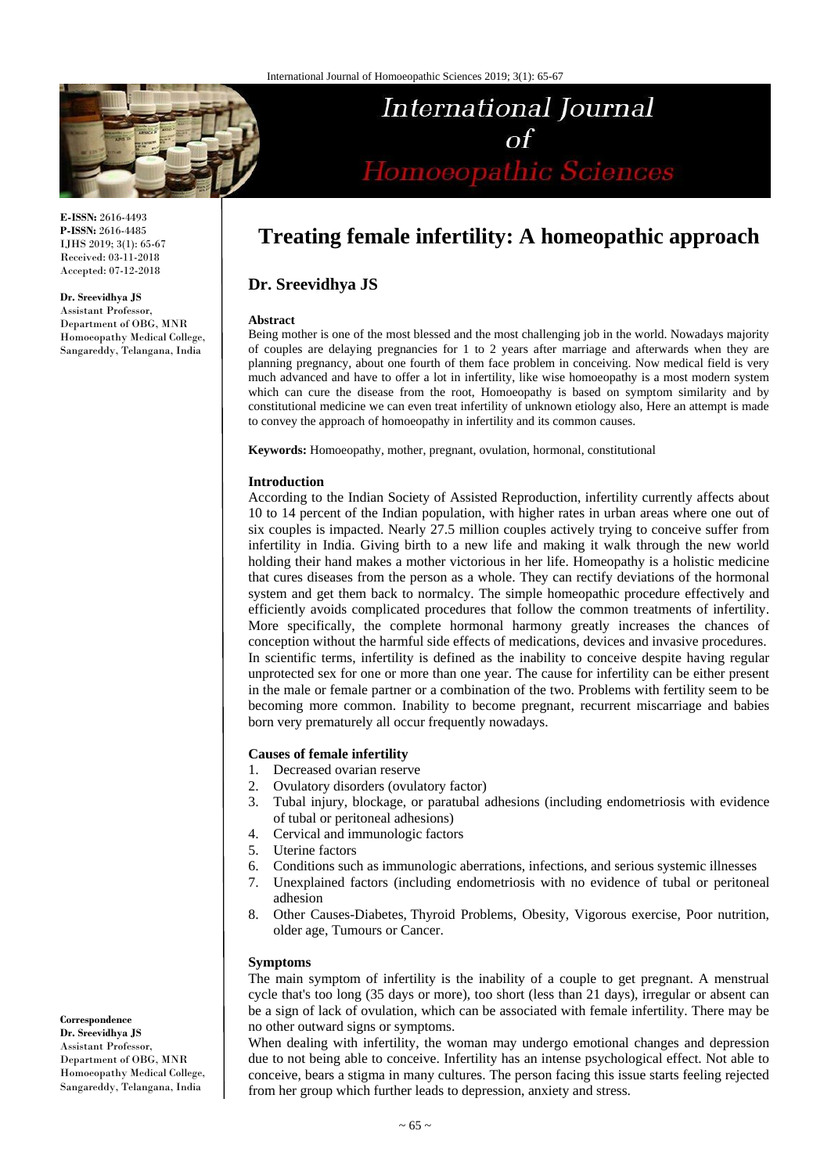

**E-ISSN:** 2616-4493 **P-ISSN:** 2616-4485 IJHS 2019; 3(1): 65-67 Received: 03-11-2018 Accepted: 07-12-2018

#### **Dr. Sreevidhya JS**

Assistant Professor, Department of OBG, MNR Homoeopathy Medical College, Sangareddy, Telangana, India

# **Treating female infertility: A homeopathic approach**

International Journal  $\Omega$ 

Homoeopathic Sciences

**Dr. Sreevidhya JS**

#### **Abstract**

Being mother is one of the most blessed and the most challenging job in the world. Nowadays majority of couples are delaying pregnancies for 1 to 2 years after marriage and afterwards when they are planning pregnancy, about one fourth of them face problem in conceiving. Now medical field is very much advanced and have to offer a lot in infertility, like wise homoeopathy is a most modern system which can cure the disease from the root, Homoeopathy is based on symptom similarity and by constitutional medicine we can even treat infertility of unknown etiology also, Here an attempt is made to convey the approach of homoeopathy in infertility and its common causes.

**Keywords:** Homoeopathy, mother, pregnant, ovulation, hormonal, constitutional

### **Introduction**

According to the Indian Society of Assisted Reproduction, infertility currently affects about 10 to 14 percent of the Indian population, with higher rates in urban areas where one out of six couples is impacted. Nearly 27.5 million couples actively trying to conceive suffer from infertility in India. Giving birth to a new life and making it walk through the new world holding their hand makes a mother victorious in her life. Homeopathy is a holistic medicine that cures diseases from the person as a whole. They can rectify deviations of the hormonal system and get them back to normalcy. The simple homeopathic procedure effectively and efficiently avoids complicated procedures that follow the common treatments of infertility. More specifically, the complete hormonal harmony greatly increases the chances of conception without the harmful side effects of medications, devices and invasive procedures. In scientific terms, infertility is defined as the inability to conceive despite having regular unprotected sex for one or more than one year. The cause for infertility can be either present in the male or female partner or a combination of the two. Problems with fertility seem to be becoming more common. Inability to become pregnant, recurrent miscarriage and babies born very prematurely all occur frequently nowadays.

### **Causes of female infertility**

- 1. Decreased ovarian reserve
- 2. Ovulatory disorders (ovulatory factor)
- 3. Tubal injury, blockage, or paratubal adhesions (including endometriosis with evidence of tubal or peritoneal adhesions)
- 4. Cervical and immunologic factors
- 5. Uterine factors
- 6. Conditions such as immunologic aberrations, infections, and serious systemic illnesses
- 7. Unexplained factors (including endometriosis with no evidence of tubal or peritoneal adhesion
- 8. Other Causes-Diabetes, Thyroid Problems, Obesity, Vigorous exercise, Poor nutrition, older age, Tumours or Cancer.

#### **Symptoms**

The main symptom of infertility is the inability of a couple to get pregnant. A menstrual cycle that's too long (35 days or more), too short (less than 21 days), irregular or absent can be a sign of lack of ovulation, which can be associated with female infertility. There may be no other outward signs or symptoms.

When dealing with infertility, the woman may undergo emotional changes and depression due to not being able to conceive. Infertility has an intense psychological effect. Not able to conceive, bears a stigma in many cultures. The person facing this issue starts feeling rejected from her group which further leads to depression, anxiety and stress.

**Correspondence Dr. Sreevidhya JS** Assistant Professor, Department of OBG, MNR Homoeopathy Medical College, Sangareddy, Telangana, India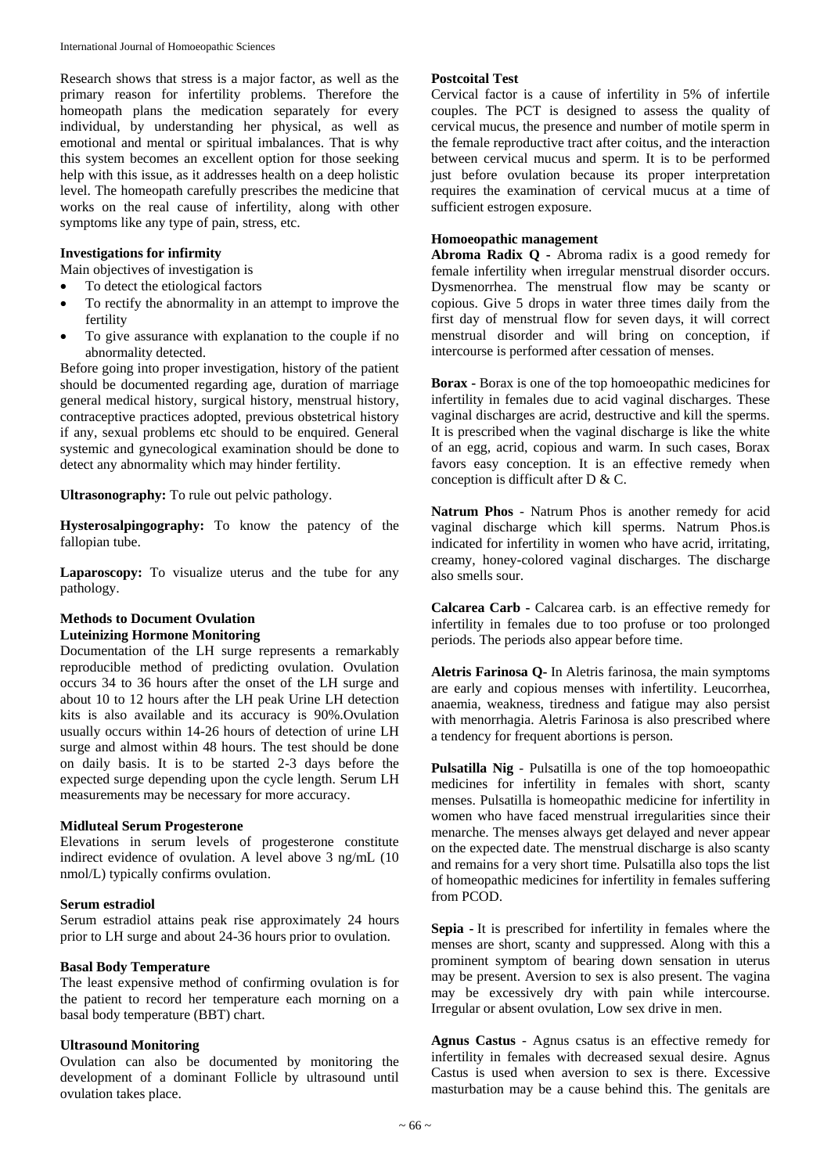Research shows that stress is a major factor, as well as the primary reason for infertility problems. Therefore the homeopath plans the medication separately for every individual, by understanding her physical, as well as emotional and mental or spiritual imbalances. That is why this system becomes an excellent option for those seeking help with this issue, as it addresses health on a deep holistic level. The homeopath carefully prescribes the medicine that works on the real cause of infertility, along with other symptoms like any type of pain, stress, etc.

## **Investigations for infirmity**

Main objectives of investigation is

- To detect the etiological factors
- To rectify the abnormality in an attempt to improve the fertility
- To give assurance with explanation to the couple if no abnormality detected.

Before going into proper investigation, history of the patient should be documented regarding age, duration of marriage general medical history, surgical history, menstrual history, contraceptive practices adopted, previous obstetrical history if any, sexual problems etc should to be enquired. General systemic and gynecological examination should be done to detect any abnormality which may hinder fertility.

**Ultrasonography:** To rule out pelvic pathology.

**Hysterosalpingography:** To know the patency of the fallopian tube.

Laparoscopy: To visualize uterus and the tube for any pathology.

### **Methods to Document Ovulation Luteinizing Hormone Monitoring**

Documentation of the LH surge represents a remarkably reproducible method of predicting ovulation. Ovulation occurs 34 to 36 hours after the onset of the LH surge and about 10 to 12 hours after the LH peak Urine LH detection kits is also available and its accuracy is 90%.Ovulation usually occurs within 14-26 hours of detection of urine LH surge and almost within 48 hours. The test should be done on daily basis. It is to be started 2-3 days before the expected surge depending upon the cycle length. Serum LH measurements may be necessary for more accuracy.

### **Midluteal Serum Progesterone**

Elevations in serum levels of progesterone constitute indirect evidence of ovulation. A level above 3 ng/mL (10 nmol/L) typically confirms ovulation.

### **Serum estradiol**

Serum estradiol attains peak rise approximately 24 hours prior to LH surge and about 24-36 hours prior to ovulation.

## **Basal Body Temperature**

The least expensive method of confirming ovulation is for the patient to record her temperature each morning on a basal body temperature (BBT) chart.

# **Ultrasound Monitoring**

Ovulation can also be documented by monitoring the development of a dominant Follicle by ultrasound until ovulation takes place.

# **Postcoital Test**

Cervical factor is a cause of infertility in 5% of infertile couples. The PCT is designed to assess the quality of cervical mucus, the presence and number of motile sperm in the female reproductive tract after coitus, and the interaction between cervical mucus and sperm. It is to be performed just before ovulation because its proper interpretation requires the examination of cervical mucus at a time of sufficient estrogen exposure.

## **Homoeopathic management**

**Abroma Radix Q -** Abroma radix is a good remedy for female infertility when irregular menstrual disorder occurs. Dysmenorrhea. The menstrual flow may be scanty or copious. Give 5 drops in water three times daily from the first day of menstrual flow for seven days, it will correct menstrual disorder and will bring on conception, if intercourse is performed after cessation of menses.

**Borax -** Borax is one of the top homoeopathic medicines for infertility in females due to acid vaginal discharges. These vaginal discharges are acrid, destructive and kill the sperms. It is prescribed when the vaginal discharge is like the white of an egg, acrid, copious and warm. In such cases, Borax favors easy conception. It is an effective remedy when conception is difficult after D & C.

**Natrum Phos** - Natrum Phos is another remedy for acid vaginal discharge which kill sperms. Natrum Phos.is indicated for infertility in women who have acrid, irritating, creamy, honey-colored vaginal discharges. The discharge also smells sour.

**Calcarea Carb -** Calcarea carb. is an effective remedy for infertility in females due to too profuse or too prolonged periods. The periods also appear before time.

**Aletris Farinosa Q-** In Aletris farinosa, the main symptoms are early and copious menses with infertility. Leucorrhea, anaemia, weakness, tiredness and fatigue may also persist with menorrhagia. Aletris Farinosa is also prescribed where a tendency for frequent abortions is person.

**Pulsatilla Nig** - Pulsatilla is one of the top homoeopathic medicines for infertility in females with short, scanty menses. Pulsatilla is homeopathic medicine for infertility in women who have faced menstrual irregularities since their menarche. The menses always get delayed and never appear on the expected date. The menstrual discharge is also scanty and remains for a very short time. Pulsatilla also tops the list of homeopathic medicines for infertility in females suffering from PCOD.

**Sepia -** It is prescribed for infertility in females where the menses are short, scanty and suppressed. Along with this a prominent symptom of bearing down sensation in uterus may be present. Aversion to sex is also present. The vagina may be excessively dry with pain while intercourse. Irregular or absent ovulation, Low sex drive in men.

**Agnus Castus** - Agnus csatus is an effective remedy for infertility in females with decreased sexual desire. Agnus Castus is used when aversion to sex is there. Excessive masturbation may be a cause behind this. The genitals are